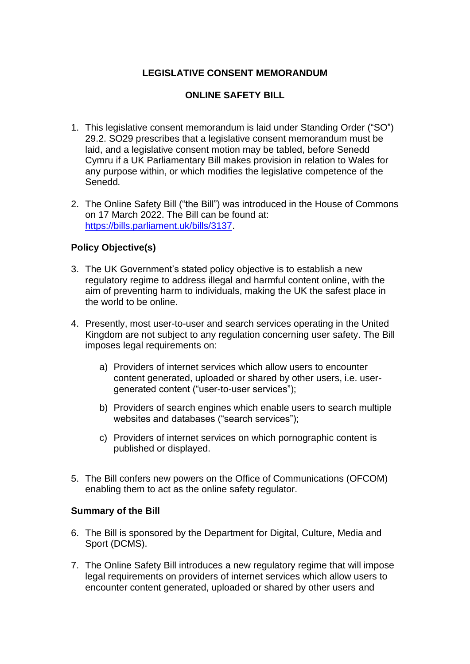# **LEGISLATIVE CONSENT MEMORANDUM**

# **ONLINE SAFETY BILL**

- 1. This legislative consent memorandum is laid under Standing Order ("SO") 29.2. SO29 prescribes that a legislative consent memorandum must be laid, and a legislative consent motion may be tabled, before Senedd Cymru if a UK Parliamentary Bill makes provision in relation to Wales for any purpose within, or which modifies the legislative competence of the Senedd*.*
- 2. The Online Safety Bill ("the Bill") was introduced in the House of Commons on 17 March 2022. The Bill can be found at: [https://bills.parliament.uk/bills/3137.](https://bills.parliament.uk/bills/3137)

# **Policy Objective(s)**

- 3. The UK Government's stated policy objective is to establish a new regulatory regime to address illegal and harmful content online, with the aim of preventing harm to individuals, making the UK the safest place in the world to be online.
- 4. Presently, most user-to-user and search services operating in the United Kingdom are not subject to any regulation concerning user safety. The Bill imposes legal requirements on:
	- a) Providers of internet services which allow users to encounter content generated, uploaded or shared by other users, i.e. usergenerated content ("user-to-user services");
	- b) Providers of search engines which enable users to search multiple websites and databases ("search services");
	- c) Providers of internet services on which pornographic content is published or displayed.
- 5. The Bill confers new powers on the Office of Communications (OFCOM) enabling them to act as the online safety regulator.

#### **Summary of the Bill**

- 6. The Bill is sponsored by the Department for Digital, Culture, Media and Sport (DCMS).
- 7. The Online Safety Bill introduces a new regulatory regime that will impose legal requirements on providers of internet services which allow users to encounter content generated, uploaded or shared by other users and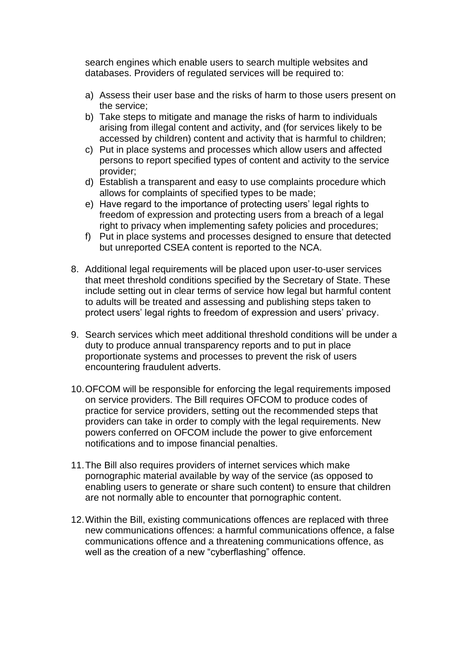search engines which enable users to search multiple websites and databases. Providers of regulated services will be required to:

- a) Assess their user base and the risks of harm to those users present on the service;
- b) Take steps to mitigate and manage the risks of harm to individuals arising from illegal content and activity, and (for services likely to be accessed by children) content and activity that is harmful to children;
- c) Put in place systems and processes which allow users and affected persons to report specified types of content and activity to the service provider;
- d) Establish a transparent and easy to use complaints procedure which allows for complaints of specified types to be made;
- e) Have regard to the importance of protecting users' legal rights to freedom of expression and protecting users from a breach of a legal right to privacy when implementing safety policies and procedures;
- f) Put in place systems and processes designed to ensure that detected but unreported CSEA content is reported to the NCA.
- 8. Additional legal requirements will be placed upon user-to-user services that meet threshold conditions specified by the Secretary of State. These include setting out in clear terms of service how legal but harmful content to adults will be treated and assessing and publishing steps taken to protect users' legal rights to freedom of expression and users' privacy.
- 9. Search services which meet additional threshold conditions will be under a duty to produce annual transparency reports and to put in place proportionate systems and processes to prevent the risk of users encountering fraudulent adverts.
- 10.OFCOM will be responsible for enforcing the legal requirements imposed on service providers. The Bill requires OFCOM to produce codes of practice for service providers, setting out the recommended steps that providers can take in order to comply with the legal requirements. New powers conferred on OFCOM include the power to give enforcement notifications and to impose financial penalties.
- 11.The Bill also requires providers of internet services which make pornographic material available by way of the service (as opposed to enabling users to generate or share such content) to ensure that children are not normally able to encounter that pornographic content.
- 12.Within the Bill, existing communications offences are replaced with three new communications offences: a harmful communications offence, a false communications offence and a threatening communications offence, as well as the creation of a new "cyberflashing" offence.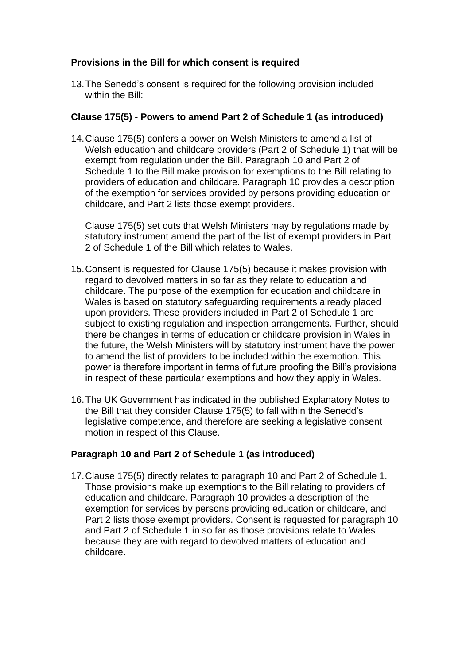### **Provisions in the Bill for which consent is required**

13.The Senedd's consent is required for the following provision included within the Bill:

### **Clause 175(5) - Powers to amend Part 2 of Schedule 1 (as introduced)**

14.Clause 175(5) confers a power on Welsh Ministers to amend a list of Welsh education and childcare providers (Part 2 of Schedule 1) that will be exempt from regulation under the Bill. Paragraph 10 and Part 2 of Schedule 1 to the Bill make provision for exemptions to the Bill relating to providers of education and childcare. Paragraph 10 provides a description of the exemption for services provided by persons providing education or childcare, and Part 2 lists those exempt providers.

Clause 175(5) set outs that Welsh Ministers may by regulations made by statutory instrument amend the part of the list of exempt providers in Part 2 of Schedule 1 of the Bill which relates to Wales.

- 15.Consent is requested for Clause 175(5) because it makes provision with regard to devolved matters in so far as they relate to education and childcare. The purpose of the exemption for education and childcare in Wales is based on statutory safeguarding requirements already placed upon providers. These providers included in Part 2 of Schedule 1 are subject to existing regulation and inspection arrangements. Further, should there be changes in terms of education or childcare provision in Wales in the future, the Welsh Ministers will by statutory instrument have the power to amend the list of providers to be included within the exemption. This power is therefore important in terms of future proofing the Bill's provisions in respect of these particular exemptions and how they apply in Wales.
- 16.The UK Government has indicated in the published Explanatory Notes to the Bill that they consider Clause 175(5) to fall within the Senedd's legislative competence, and therefore are seeking a legislative consent motion in respect of this Clause.

# **Paragraph 10 and Part 2 of Schedule 1 (as introduced)**

17.Clause 175(5) directly relates to paragraph 10 and Part 2 of Schedule 1. Those provisions make up exemptions to the Bill relating to providers of education and childcare. Paragraph 10 provides a description of the exemption for services by persons providing education or childcare, and Part 2 lists those exempt providers. Consent is requested for paragraph 10 and Part 2 of Schedule 1 in so far as those provisions relate to Wales because they are with regard to devolved matters of education and childcare.